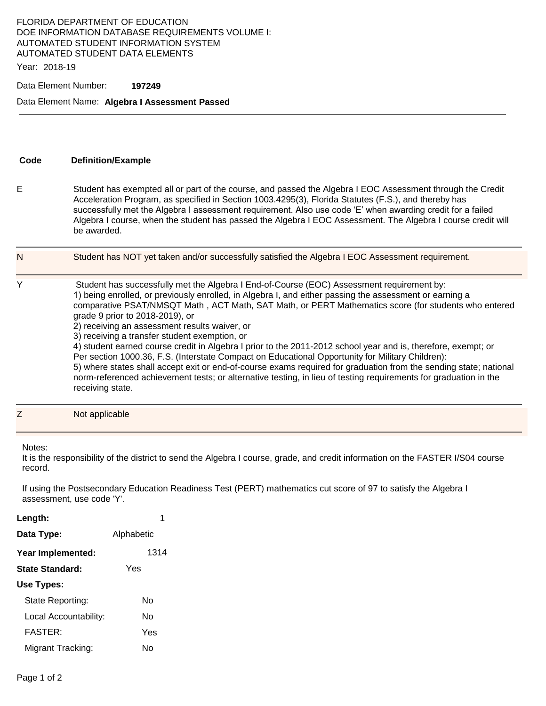### FLORIDA DEPARTMENT OF EDUCATION DOE INFORMATION DATABASE REQUIREMENTS VOLUME I: AUTOMATED STUDENT INFORMATION SYSTEM AUTOMATED STUDENT DATA ELEMENTS

Year: 2018-19

#### Data Element Number: **197249**

#### Data Element Name: **Algebra I Assessment Passed**

# **Code Definition/Example**

E Student has exempted all or part of the course, and passed the Algebra I EOC Assessment through the Credit Acceleration Program, as specified in Section 1003.4295(3), Florida Statutes (F.S.), and thereby has successfully met the Algebra I assessment requirement. Also use code 'E' when awarding credit for a failed Algebra I course, when the student has passed the Algebra I EOC Assessment. The Algebra I course credit will be awarded.

## 1) being enrolled, or previously enrolled, in Algebra I, and either passing the assessment or earning a 5) where states shall accept exit or end-of-course exams required for graduation from the sending state; national norm-referenced achievement tests; or alternative testing, in lieu of testing requirements for graduation in the N Student has NOT yet taken and/or successfully satisfied the Algebra I EOC Assessment requirement. Y Student has successfully met the Algebra I End-of-Course (EOC) Assessment requirement by: comparative PSAT/NMSQT Math , ACT Math, SAT Math, or PERT Mathematics score (for students who entered grade 9 prior to 2018-2019), or 2) receiving an assessment results waiver, or 3) receiving a transfer student exemption, or 4) student earned course credit in Algebra I prior to the 2011-2012 school year and is, therefore, exempt; or Per section 1000.36, F.S. (Interstate Compact on Educational Opportunity for Military Children): receiving state.

| $\overline{\phantom{a}}$<br>- | Not applicable |
|-------------------------------|----------------|
|                               |                |

Notes:

It is the responsibility of the district to send the Algebra I course, grade, and credit information on the FASTER I/S04 course record.

If using the Postsecondary Education Readiness Test (PERT) mathematics cut score of 97 to satisfy the Algebra I assessment, use code 'Y'.

| Length:               | 1          |
|-----------------------|------------|
| Data Type:            | Alphabetic |
| Year Implemented:     | 1314       |
| State Standard:       | Yes        |
| Use Types:            |            |
| State Reporting:      | N٥         |
| Local Accountability: | N٥         |
| <b>FASTER:</b>        | Yes        |
| Migrant Tracking:     | N٥         |